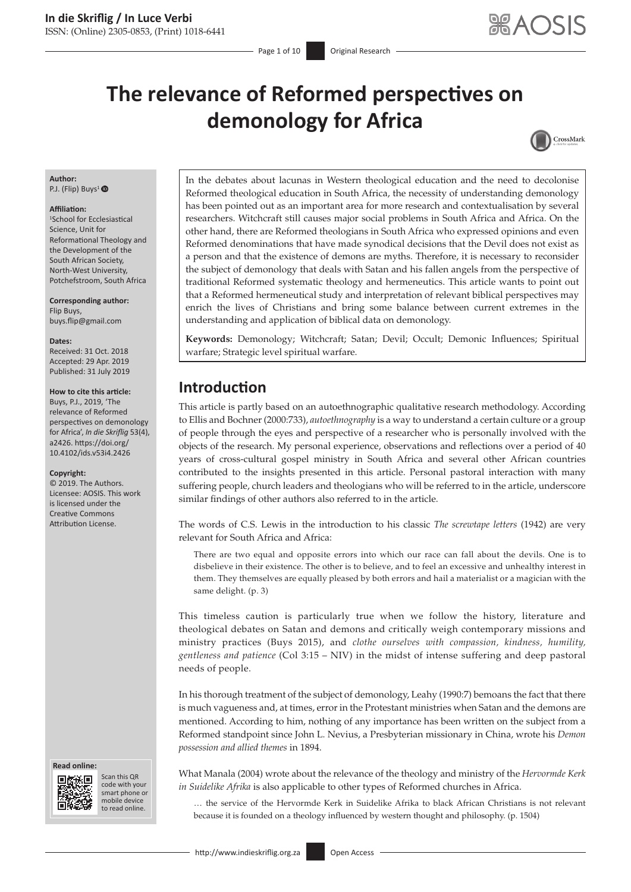# **The relevance of Reformed perspectives on demonology for Africa**



#### **Author:**

P.J. (Flip) Buys<sup>[1](https://orcid.org/0000-0002-5038-8248)</sup>

#### **Affiliation:**

1 School for Ecclesiastical Science, Unit for Reformational Theology and the Development of the South African Society, North-West University, Potchefstroom, South Africa

**Corresponding author:** Flip Buys, [buys.flip@gmail.com](mailto:buys.flip@gmail.com)

#### **Dates:**

Received: 31 Oct. 2018 Accepted: 29 Apr. 2019 Published: 31 July 2019

#### **How to cite this article:**

Buys, P.J., 2019, 'The relevance of Reformed perspectives on demonology for Africa', *In die Skriflig* 53(4), a2426. [https://doi.org/](https://doi.org/10.4102/ids.v53i4.2426) [10.4102/ids.v53i4.2426](https://doi.org/10.4102/ids.v53i4.2426)

#### **Copyright:**

© 2019. The Authors. Licensee: AOSIS. This work is licensed under the Creative Commons Attribution License.

#### **Read online: Read online:**



Scan this QR code with your Scan this QR<br>code with your<br>smart phone or<br>mobile device mobile device to read online. to read online.

In the debates about lacunas in Western theological education and the need to decolonise Reformed theological education in South Africa, the necessity of understanding demonology has been pointed out as an important area for more research and contextualisation by several researchers. Witchcraft still causes major social problems in South Africa and Africa. On the other hand, there are Reformed theologians in South Africa who expressed opinions and even Reformed denominations that have made synodical decisions that the Devil does not exist as a person and that the existence of demons are myths. Therefore, it is necessary to reconsider the subject of demonology that deals with Satan and his fallen angels from the perspective of traditional Reformed systematic theology and hermeneutics. This article wants to point out that a Reformed hermeneutical study and interpretation of relevant biblical perspectives may enrich the lives of Christians and bring some balance between current extremes in the understanding and application of biblical data on demonology.

**Keywords:** Demonology; Witchcraft; Satan; Devil; Occult; Demonic Influences; Spiritual warfare; Strategic level spiritual warfare.

# **Introduction**

This article is partly based on an autoethnographic qualitative research methodology. According to Ellis and Bochner (2000:733), *autoethnography* is a way to understand a certain culture or a group of people through the eyes and perspective of a researcher who is personally involved with the objects of the research. My personal experience, observations and reflections over a period of 40 years of cross-cultural gospel ministry in South Africa and several other African countries contributed to the insights presented in this article. Personal pastoral interaction with many suffering people, church leaders and theologians who will be referred to in the article, underscore similar findings of other authors also referred to in the article.

The words of C.S. Lewis in the introduction to his classic *The screwtape letters* (1942) are very relevant for South Africa and Africa:

There are two equal and opposite errors into which our race can fall about the devils. One is to disbelieve in their existence. The other is to believe, and to feel an excessive and unhealthy interest in them. They themselves are equally pleased by both errors and hail a materialist or a magician with the same delight. (p. 3)

This timeless caution is particularly true when we follow the history, literature and theological debates on Satan and demons and critically weigh contemporary missions and ministry practices (Buys 2015), and *clothe ourselves with compassion, kindness, humility, gentleness and patience* (Col 3:15 – NIV) in the midst of intense suffering and deep pastoral needs of people.

In his thorough treatment of the subject of demonology, Leahy (1990:7) bemoans the fact that there is much vagueness and, at times, error in the Protestant ministries when Satan and the demons are mentioned. According to him, nothing of any importance has been written on the subject from a Reformed standpoint since John L. Nevius, a Presbyterian missionary in China, wrote his *Demon possession and allied themes* in 1894.

What Manala (2004) wrote about the relevance of the theology and ministry of the *Hervormde Kerk in Suidelike Afrika* is also applicable to other types of Reformed churches in Africa.

… the service of the Hervormde Kerk in Suidelike Afrika to black African Christians is not relevant because it is founded on a theology influenced by western thought and philosophy. (p. 1504)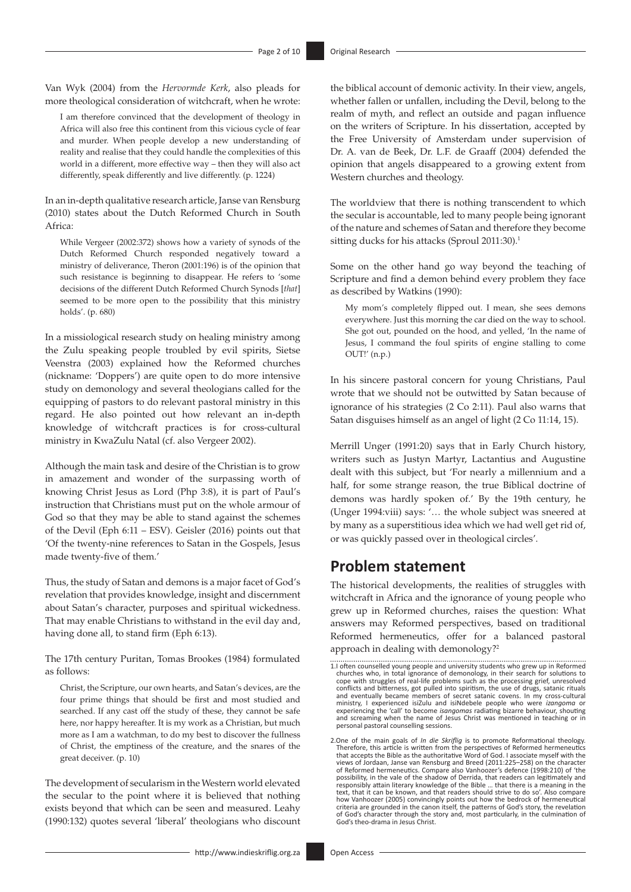Van Wyk (2004) from the *Hervormde Kerk*, also pleads for more theological consideration of witchcraft, when he wrote:

I am therefore convinced that the development of theology in Africa will also free this continent from this vicious cycle of fear and murder. When people develop a new understanding of reality and realise that they could handle the complexities of this world in a different, more effective way – then they will also act differently, speak differently and live differently. (p. 1224)

In an in-depth qualitative research article, Janse van Rensburg (2010) states about the Dutch Reformed Church in South Africa:

While Vergeer (2002:372) shows how a variety of synods of the Dutch Reformed Church responded negatively toward a ministry of deliverance, Theron (2001:196) is of the opinion that such resistance is beginning to disappear. He refers to 'some decisions of the different Dutch Reformed Church Synods [*that*] seemed to be more open to the possibility that this ministry holds'. (p. 680)

In a missiological research study on healing ministry among the Zulu speaking people troubled by evil spirits, Sietse Veenstra (2003) explained how the Reformed churches (nickname: 'Doppers') are quite open to do more intensive study on demonology and several theologians called for the equipping of pastors to do relevant pastoral ministry in this regard. He also pointed out how relevant an in-depth knowledge of witchcraft practices is for cross-cultural ministry in KwaZulu Natal (cf. also Vergeer 2002).

Although the main task and desire of the Christian is to grow in amazement and wonder of the surpassing worth of knowing Christ Jesus as Lord (Php 3:8), it is part of Paul's instruction that Christians must put on the whole armour of God so that they may be able to stand against the schemes of the Devil (Eph 6:11 – ESV). Geisler (2016) points out that 'Of the twenty-nine references to Satan in the Gospels, Jesus made twenty-five of them.'

Thus, the study of Satan and demons is a major facet of God's revelation that provides knowledge, insight and discernment about Satan's character, purposes and spiritual wickedness. That may enable Christians to withstand in the evil day and, having done all, to stand firm (Eph 6:13).

The 17th century Puritan, Tomas Brookes (1984) formulated as follows:

Christ, the Scripture, our own hearts, and Satan's devices, are the four prime things that should be first and most studied and searched. If any cast off the study of these, they cannot be safe here, nor happy hereafter. It is my work as a Christian, but much more as I am a watchman, to do my best to discover the fullness of Christ, the emptiness of the creature, and the snares of the great deceiver. (p. 10)

The development of secularism in the Western world elevated the secular to the point where it is believed that nothing exists beyond that which can be seen and measured. Leahy (1990:132) quotes several 'liberal' theologians who discount

the biblical account of demonic activity. In their view, angels, whether fallen or unfallen, including the Devil, belong to the realm of myth, and reflect an outside and pagan influence on the writers of Scripture. In his dissertation, accepted by the Free University of Amsterdam under supervision of Dr. A. van de Beek, Dr. L.F. de Graaff (2004) defended the opinion that angels disappeared to a growing extent from Western churches and theology.

The worldview that there is nothing transcendent to which the secular is accountable, led to many people being ignorant of the nature and schemes of Satan and therefore they become sitting ducks for his attacks (Sproul 2011:30).<sup>1</sup>

Some on the other hand go way beyond the teaching of Scripture and find a demon behind every problem they face as described by Watkins (1990):

My mom's completely flipped out. I mean, she sees demons everywhere. Just this morning the car died on the way to school. She got out, pounded on the hood, and yelled, 'In the name of Jesus, I command the foul spirits of engine stalling to come OUT!' (n.p.)

In his sincere pastoral concern for young Christians, Paul wrote that we should not be outwitted by Satan because of ignorance of his strategies (2 Co 2:11). Paul also warns that Satan disguises himself as an angel of light (2 Co 11:14, 15).

Merrill Unger (1991:20) says that in Early Church history, writers such as Justyn Martyr, Lactantius and Augustine dealt with this subject, but 'For nearly a millennium and a half, for some strange reason, the true Biblical doctrine of demons was hardly spoken of.' By the 19th century, he (Unger 1994:viii) says: '… the whole subject was sneered at by many as a superstitious idea which we had well get rid of, or was quickly passed over in theological circles'.

### **Problem statement**

The historical developments, the realities of struggles with witchcraft in Africa and the ignorance of young people who grew up in Reformed churches, raises the question: What answers may Reformed perspectives, based on traditional Reformed hermeneutics, offer for a balanced pastoral approach in dealing with demonology?<sup>2</sup>

<sup>1.1</sup> often counselled young people and university students who grew up in Reformed<br>churches who, in total ignorance of demonology, in their search for solutions to<br>cope with struggles of real-life problems such as the proce ministry, I experienced isiZulu and isiNdebele people who were *izangoma* or experiencing the 'call' to become *isangomas* radiating bizarre behaviour, shouting and screaming when the name of Jesus Christ was mentioned in teaching or in personal pastoral counselling sessions.

<sup>2.</sup>One of the main goals of *In die Skriflig* is to promote Reformational theology. Therefore, this article is written from the perspectives of Reformed hermeneutics<br>that accepts the Bible as the authoritative Word of God. I associate myself with the<br>views of Jordaan, Janse van Rensburg and Breed (2011:22 possibility, in the vale of the shadow of Derrida, that readers can legitimately and responsibly attain literary knowledge of the Bible … that there is a meaning in the text, that it can be known, and that readers should strive to do so'. Also compare how Vanhoozer (2005) convincingly points out how the bedrock of hermeneutical criteria are grounded in the canon itself, the patterns of God's story, the revelation of God's character through the story and, most particularly, in the culmination of God's theo-drama in Jesus Christ.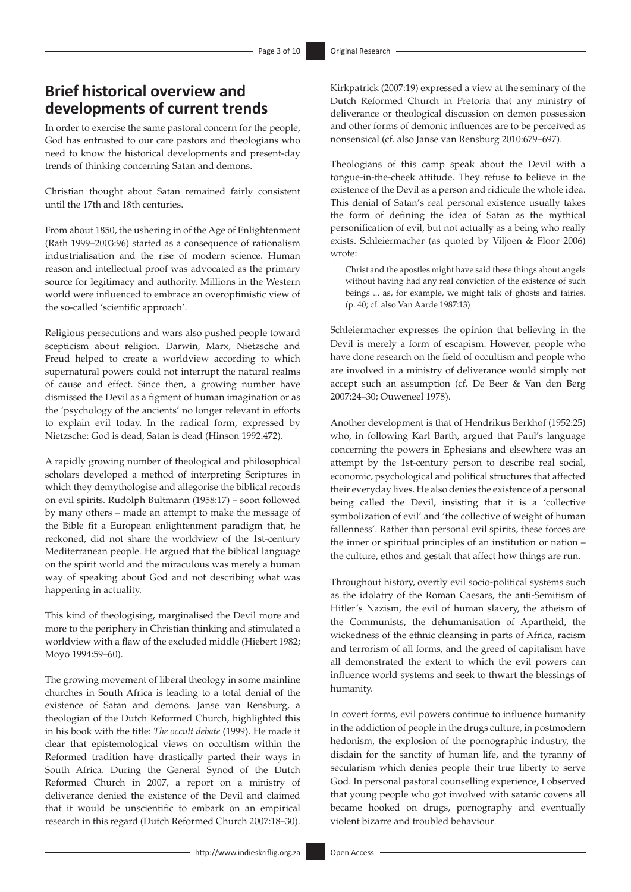# **Brief historical overview and developments of current trends**

In order to exercise the same pastoral concern for the people, God has entrusted to our care pastors and theologians who need to know the historical developments and present-day trends of thinking concerning Satan and demons.

Christian thought about Satan remained fairly consistent until the 17th and 18th centuries.

From about 1850, the ushering in of the Age of Enlightenment (Rath 1999–2003:96) started as a consequence of rationalism industrialisation and the rise of modern science. Human reason and intellectual proof was advocated as the primary source for legitimacy and authority. Millions in the Western world were influenced to embrace an overoptimistic view of the so-called 'scientific approach'.

Religious persecutions and wars also pushed people toward scepticism about religion. Darwin, Marx, Nietzsche and Freud helped to create a worldview according to which supernatural powers could not interrupt the natural realms of cause and effect. Since then, a growing number have dismissed the Devil as a figment of human imagination or as the 'psychology of the ancients' no longer relevant in efforts to explain evil today. In the radical form, expressed by Nietzsche: God is dead, Satan is dead (Hinson 1992:472).

A rapidly growing number of theological and philosophical scholars developed a method of interpreting Scriptures in which they demythologise and allegorise the biblical records on evil spirits. Rudolph Bultmann (1958:17) – soon followed by many others – made an attempt to make the message of the Bible fit a European enlightenment paradigm that, he reckoned, did not share the worldview of the 1st-century Mediterranean people. He argued that the biblical language on the spirit world and the miraculous was merely a human way of speaking about God and not describing what was happening in actuality.

This kind of theologising, marginalised the Devil more and more to the periphery in Christian thinking and stimulated a worldview with a flaw of the excluded middle (Hiebert 1982; Moyo 1994:59–60).

The growing movement of liberal theology in some mainline churches in South Africa is leading to a total denial of the existence of Satan and demons. Janse van Rensburg, a theologian of the Dutch Reformed Church, highlighted this in his book with the title: *The occult debate* (1999). He made it clear that epistemological views on occultism within the Reformed tradition have drastically parted their ways in South Africa. During the General Synod of the Dutch Reformed Church in 2007, a report on a ministry of deliverance denied the existence of the Devil and claimed that it would be unscientific to embark on an empirical research in this regard (Dutch Reformed Church 2007:18–30). Kirkpatrick (2007:19) expressed a view at the seminary of the Dutch Reformed Church in Pretoria that any ministry of deliverance or theological discussion on demon possession and other forms of demonic influences are to be perceived as nonsensical (cf. also Janse van Rensburg 2010:679–697).

Theologians of this camp speak about the Devil with a tongue-in-the-cheek attitude. They refuse to believe in the existence of the Devil as a person and ridicule the whole idea. This denial of Satan's real personal existence usually takes the form of defining the idea of Satan as the mythical personification of evil, but not actually as a being who really exists. Schleiermacher (as quoted by Viljoen & Floor 2006) wrote:

Christ and the apostles might have said these things about angels without having had any real conviction of the existence of such beings ... as, for example, we might talk of ghosts and fairies. (p. 40; cf. also Van Aarde 1987:13)

Schleiermacher expresses the opinion that believing in the Devil is merely a form of escapism. However, people who have done research on the field of occultism and people who are involved in a ministry of deliverance would simply not accept such an assumption (cf. De Beer & Van den Berg 2007:24–30; Ouweneel 1978).

Another development is that of Hendrikus Berkhof (1952:25) who, in following Karl Barth, argued that Paul's language concerning the powers in Ephesians and elsewhere was an attempt by the 1st-century person to describe real social, economic, psychological and political structures that affected their everyday lives. He also denies the existence of a personal being called the Devil, insisting that it is a 'collective symbolization of evil' and 'the collective of weight of human fallenness'. Rather than personal evil spirits, these forces are the inner or spiritual principles of an institution or nation – the culture, ethos and gestalt that affect how things are run.

Throughout history, overtly evil socio-political systems such as the idolatry of the Roman Caesars, the anti-Semitism of Hitler's Nazism, the evil of human slavery, the atheism of the Communists, the dehumanisation of Apartheid, the wickedness of the ethnic cleansing in parts of Africa, racism and terrorism of all forms, and the greed of capitalism have all demonstrated the extent to which the evil powers can influence world systems and seek to thwart the blessings of humanity.

In covert forms, evil powers continue to influence humanity in the addiction of people in the drugs culture, in postmodern hedonism, the explosion of the pornographic industry, the disdain for the sanctity of human life, and the tyranny of secularism which denies people their true liberty to serve God. In personal pastoral counselling experience, I observed that young people who got involved with satanic covens all became hooked on drugs, pornography and eventually violent bizarre and troubled behaviour.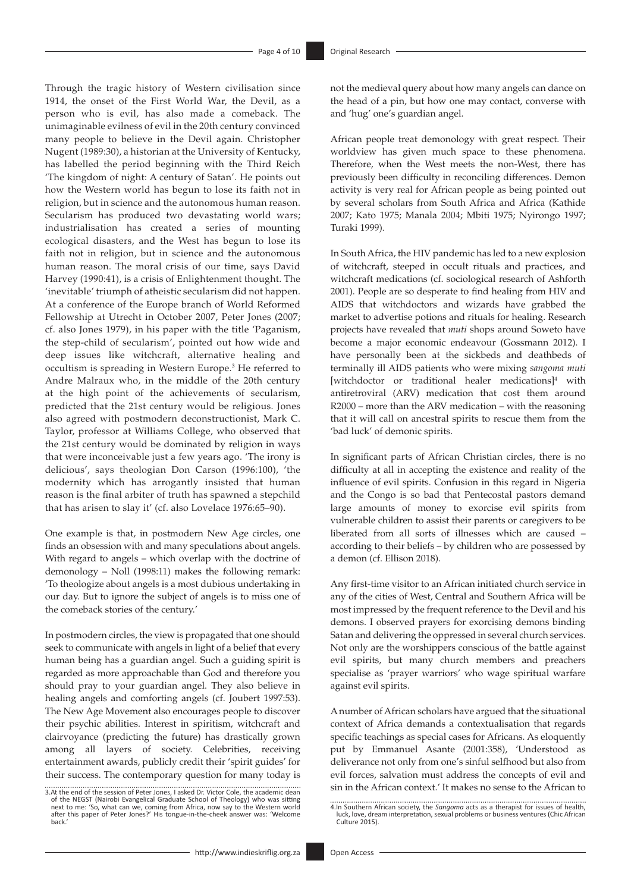Through the tragic history of Western civilisation since 1914, the onset of the First World War, the Devil, as a person who is evil, has also made a comeback. The unimaginable evilness of evil in the 20th century convinced many people to believe in the Devil again. Christopher Nugent (1989:30), a historian at the University of Kentucky, has labelled the period beginning with the Third Reich 'The kingdom of night: A century of Satan'. He points out how the Western world has begun to lose its faith not in religion, but in science and the autonomous human reason. Secularism has produced two devastating world wars; industrialisation has created a series of mounting ecological disasters, and the West has begun to lose its faith not in religion, but in science and the autonomous human reason. The moral crisis of our time, says David Harvey (1990:41), is a crisis of Enlightenment thought. The 'inevitable' triumph of atheistic secularism did not happen. At a conference of the Europe branch of World Reformed Fellowship at Utrecht in October 2007, Peter Jones (2007; cf. also Jones 1979), in his paper with the title 'Paganism, the step-child of secularism', pointed out how wide and deep issues like witchcraft, alternative healing and occultism is spreading in Western Europe.<sup>3</sup> He referred to Andre Malraux who, in the middle of the 20th century at the high point of the achievements of secularism, predicted that the 21st century would be religious. Jones also agreed with postmodern deconstructionist, Mark C. Taylor, professor at Williams College, who observed that the 21st century would be dominated by religion in ways that were inconceivable just a few years ago. 'The irony is delicious', says theologian Don Carson (1996:100), 'the modernity which has arrogantly insisted that human reason is the final arbiter of truth has spawned a stepchild that has arisen to slay it' (cf. also Lovelace 1976:65–90).

One example is that, in postmodern New Age circles, one finds an obsession with and many speculations about angels. With regard to angels – which overlap with the doctrine of demonology – Noll (1998:11) makes the following remark: 'To theologize about angels is a most dubious undertaking in our day. But to ignore the subject of angels is to miss one of the comeback stories of the century.'

In postmodern circles, the view is propagated that one should seek to communicate with angels in light of a belief that every human being has a guardian angel. Such a guiding spirit is regarded as more approachable than God and therefore you should pray to your guardian angel. They also believe in healing angels and comforting angels (cf. Joubert 1997:53). The New Age Movement also encourages people to discover their psychic abilities. Interest in spiritism, witchcraft and clairvoyance (predicting the future) has drastically grown among all layers of society. Celebrities, receiving entertainment awards, publicly credit their 'spirit guides' for their success. The contemporary question for many today is

not the medieval query about how many angels can dance on the head of a pin, but how one may contact, converse with and 'hug' one's guardian angel.

African people treat demonology with great respect. Their worldview has given much space to these phenomena. Therefore, when the West meets the non-West, there has previously been difficulty in reconciling differences. Demon activity is very real for African people as being pointed out by several scholars from South Africa and Africa (Kathide 2007; Kato 1975; Manala 2004; Mbiti 1975; Nyirongo 1997; Turaki 1999).

In South Africa, the HIV pandemic has led to a new explosion of witchcraft, steeped in occult rituals and practices, and witchcraft medications (cf. sociological research of Ashforth 2001). People are so desperate to find healing from HIV and AIDS that witchdoctors and wizards have grabbed the market to advertise potions and rituals for healing. Research projects have revealed that *muti* shops around Soweto have become a major economic endeavour (Gossmann 2012). I have personally been at the sickbeds and deathbeds of terminally ill AIDS patients who were mixing *sangoma muti* [witchdoctor or traditional healer medications] $4$  with antiretroviral (ARV) medication that cost them around R2000 – more than the ARV medication – with the reasoning that it will call on ancestral spirits to rescue them from the 'bad luck' of demonic spirits.

In significant parts of African Christian circles, there is no difficulty at all in accepting the existence and reality of the influence of evil spirits. Confusion in this regard in Nigeria and the Congo is so bad that Pentecostal pastors demand large amounts of money to exorcise evil spirits from vulnerable children to assist their parents or caregivers to be liberated from all sorts of illnesses which are caused – according to their beliefs – by children who are possessed by a demon (cf. Ellison 2018).

Any first-time visitor to an African initiated church service in any of the cities of West, Central and Southern Africa will be most impressed by the frequent reference to the Devil and his demons. I observed prayers for exorcising demons binding Satan and delivering the oppressed in several church services. Not only are the worshippers conscious of the battle against evil spirits, but many church members and preachers specialise as 'prayer warriors' who wage spiritual warfare against evil spirits.

A number of African scholars have argued that the situational context of Africa demands a contextualisation that regards specific teachings as special cases for Africans. As eloquently put by Emmanuel Asante (2001:358), 'Understood as deliverance not only from one's sinful selfhood but also from evil forces, salvation must address the concepts of evil and sin in the African context.' It makes no sense to the African to

<sup>3.</sup>At the end of the session of Peter Jones, I asked Dr. Victor Cole, the academic dean of the NEGST (Nairobi Evangelical Graduate School of Theology) who was sitting next to me: 'So, what can we, coming from Africa, now say to the Western world after this paper of Peter Jones?' His tongue-in-the-cheek answer was: 'Welcome back.'

<sup>4.</sup>In Southern African society, the *Sangoma* acts as a therapist for issues of health, luck, love, dream interpretation, sexual problems or business ventures (Chic African Culture 2015).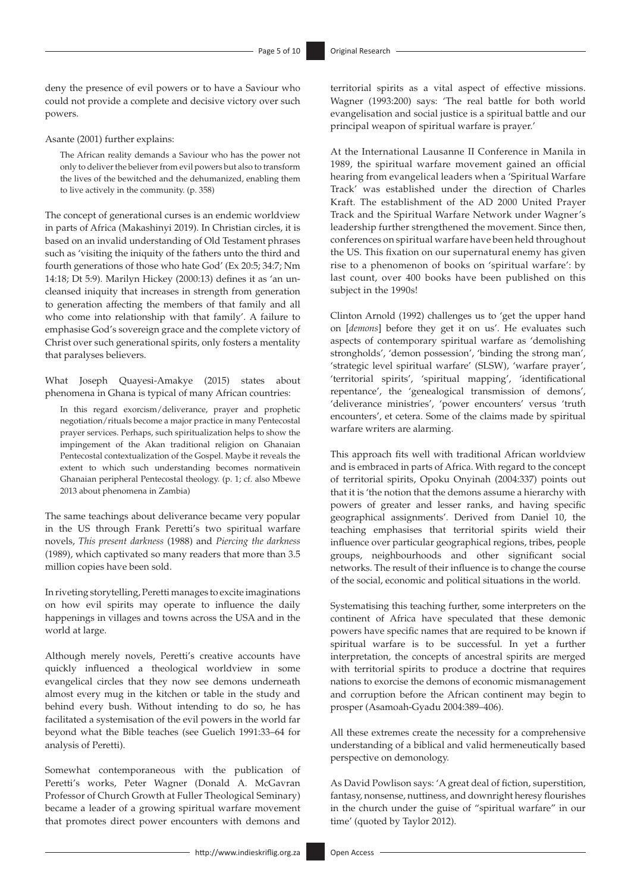deny the presence of evil powers or to have a Saviour who could not provide a complete and decisive victory over such powers.

Asante (2001) further explains:

The African reality demands a Saviour who has the power not only to deliver the believer from evil powers but also to transform the lives of the bewitched and the dehumanized, enabling them to live actively in the community. (p. 358)

The concept of generational curses is an endemic worldview in parts of Africa (Makashinyi 2019). In Christian circles, it is based on an invalid understanding of Old Testament phrases such as 'visiting the iniquity of the fathers unto the third and fourth generations of those who hate God' (Ex 20:5; 34:7; Nm 14:18; Dt 5:9)*.* Marilyn Hickey (2000:13) defines it as 'an uncleansed iniquity that increases in strength from generation to generation affecting the members of that family and all who come into relationship with that family'. A failure to emphasise God's sovereign grace and the complete victory of Christ over such generational spirits, only fosters a mentality that paralyses believers.

What Joseph Quayesi-Amakye (2015) states about phenomena in Ghana is typical of many African countries:

In this regard exorcism/deliverance, prayer and prophetic negotiation/rituals become a major practice in many Pentecostal prayer services. Perhaps, such spiritualization helps to show the impingement of the Akan traditional religion on Ghanaian Pentecostal contextualization of the Gospel. Maybe it reveals the extent to which such understanding becomes normativein Ghanaian peripheral Pentecostal theology. (p. 1; cf. also Mbewe 2013 about phenomena in Zambia)

The same teachings about deliverance became very popular in the US through Frank Peretti's two spiritual warfare novels, *This present darkness* (1988) and *Piercing the darkness* (1989), which captivated so many readers that more than 3.5 million copies have been sold.

In riveting storytelling, Peretti manages to excite imaginations on how evil spirits may operate to influence the daily happenings in villages and towns across the USA and in the world at large.

Although merely novels, Peretti's creative accounts have quickly influenced a theological worldview in some evangelical circles that they now see demons underneath almost every mug in the kitchen or table in the study and behind every bush. Without intending to do so, he has facilitated a systemisation of the evil powers in the world far beyond what the Bible teaches (see Guelich 1991:33–64 for analysis of Peretti).

Somewhat contemporaneous with the publication of Peretti's works, Peter Wagner (Donald A. McGavran Professor of Church Growth at Fuller Theological Seminary) became a leader of a growing spiritual warfare movement that promotes direct power encounters with demons and

territorial spirits as a vital aspect of effective missions. Wagner (1993:200) says: 'The real battle for both world evangelisation and social justice is a spiritual battle and our principal weapon of spiritual warfare is prayer.'

At the International Lausanne II Conference in Manila in 1989, the spiritual warfare movement gained an official hearing from evangelical leaders when a 'Spiritual Warfare Track' was established under the direction of Charles Kraft. The establishment of the AD 2000 United Prayer Track and the Spiritual Warfare Network under Wagner's leadership further strengthened the movement. Since then, conferences on spiritual warfare have been held throughout the US. This fixation on our supernatural enemy has given rise to a phenomenon of books on 'spiritual warfare': by last count, over 400 books have been published on this subject in the 1990s!

Clinton Arnold (1992) challenges us to 'get the upper hand on [*demons*] before they get it on us'. He evaluates such aspects of contemporary spiritual warfare as 'demolishing strongholds', 'demon possession', 'binding the strong man', 'strategic level spiritual warfare' (SLSW), 'warfare prayer', 'territorial spirits', 'spiritual mapping', 'identificational repentance', the 'genealogical transmission of demons', 'deliverance ministries', 'power encounters' versus 'truth encounters', et cetera. Some of the claims made by spiritual warfare writers are alarming.

This approach fits well with traditional African worldview and is embraced in parts of Africa. With regard to the concept of territorial spirits, Opoku Onyinah (2004:337) points out that it is 'the notion that the demons assume a hierarchy with powers of greater and lesser ranks, and having specific geographical assignments'. Derived from Daniel 10, the teaching emphasises that territorial spirits wield their influence over particular geographical regions, tribes, people groups, neighbourhoods and other significant social networks. The result of their influence is to change the course of the social, economic and political situations in the world.

Systematising this teaching further, some interpreters on the continent of Africa have speculated that these demonic powers have specific names that are required to be known if spiritual warfare is to be successful. In yet a further interpretation, the concepts of ancestral spirits are merged with territorial spirits to produce a doctrine that requires nations to exorcise the demons of economic mismanagement and corruption before the African continent may begin to prosper (Asamoah-Gyadu 2004:389–406).

All these extremes create the necessity for a comprehensive understanding of a biblical and valid hermeneutically based perspective on demonology.

As David Powlison says: 'A great deal of fiction, superstition, fantasy, nonsense, nuttiness, and downright heresy flourishes in the church under the guise of "spiritual warfare" in our time' (quoted by Taylor 2012).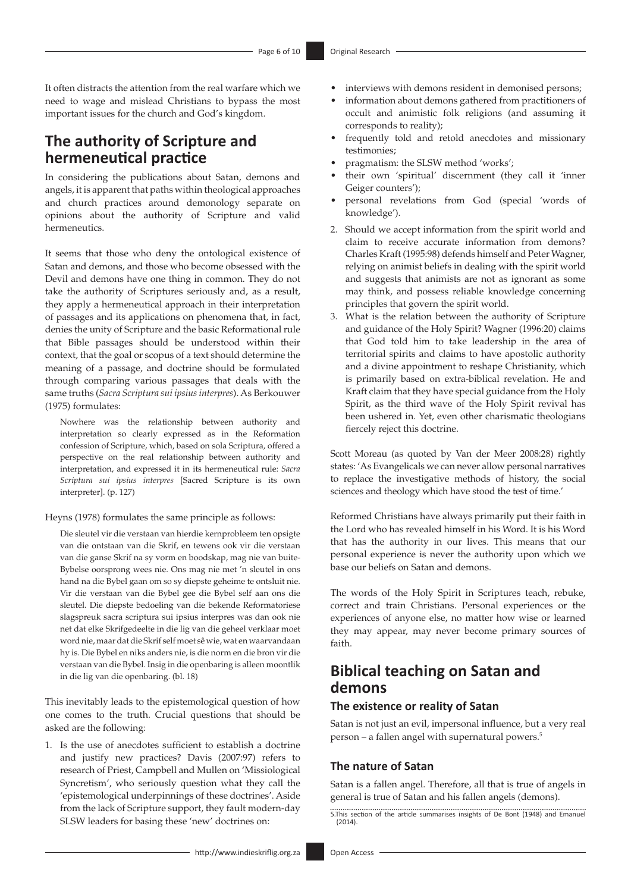It often distracts the attention from the real warfare which we need to wage and mislead Christians to bypass the most important issues for the church and God's kingdom.

# **The authority of Scripture and hermeneutical practice**

In considering the publications about Satan, demons and angels, it is apparent that paths within theological approaches and church practices around demonology separate on opinions about the authority of Scripture and valid hermeneutics.

It seems that those who deny the ontological existence of Satan and demons, and those who become obsessed with the Devil and demons have one thing in common. They do not take the authority of Scriptures seriously and, as a result, they apply a hermeneutical approach in their interpretation of passages and its applications on phenomena that, in fact, denies the unity of Scripture and the basic Reformational rule that Bible passages should be understood within their context, that the goal or scopus of a text should determine the meaning of a passage, and doctrine should be formulated through comparing various passages that deals with the same truths (*Sacra Scriptura sui ipsius interpres*). As Berkouwer (1975) formulates:

Nowhere was the relationship between authority and interpretation so clearly expressed as in the Reformation confession of Scripture, which, based on sola Scriptura, offered a perspective on the real relationship between authority and interpretation, and expressed it in its hermeneutical rule: *Sacra Scriptura sui ipsius interpres* [Sacred Scripture is its own interpreter]. (p. 127)

Heyns (1978) formulates the same principle as follows:

Die sleutel vir die verstaan van hierdie kernprobleem ten opsigte van die ontstaan van die Skrif, en tewens ook vir die verstaan van die ganse Skrif na sy vorm en boodskap, mag nie van buite-Bybelse oorsprong wees nie. Ons mag nie met 'n sleutel in ons hand na die Bybel gaan om so sy diepste geheime te ontsluit nie. Vir die verstaan van die Bybel gee die Bybel self aan ons die sleutel. Die diepste bedoeling van die bekende Reformatoriese slagspreuk sacra scriptura sui ipsius interpres was dan ook nie net dat elke Skrifgedeelte in die lig van die geheel verklaar moet word nie, maar dat die Skrif self moet sê wie, wat en waarvandaan hy is. Die Bybel en niks anders nie, is die norm en die bron vir die verstaan van die Bybel. Insig in die openbaring is alleen moontlik in die lig van die openbaring. (bl. 18)

This inevitably leads to the epistemological question of how one comes to the truth. Crucial questions that should be asked are the following:

1. Is the use of anecdotes sufficient to establish a doctrine and justify new practices? Davis (2007:97) refers to research of Priest, Campbell and Mullen on 'Missiological Syncretism', who seriously question what they call the 'epistemological underpinnings of these doctrines'. Aside from the lack of Scripture support, they fault modern-day SLSW leaders for basing these 'new' doctrines on:

- interviews with demons resident in demonised persons;
- information about demons gathered from practitioners of occult and animistic folk religions (and assuming it corresponds to reality);
- frequently told and retold anecdotes and missionary testimonies;
- pragmatism: the SLSW method 'works';
- their own 'spiritual' discernment (they call it 'inner Geiger counters');
- personal revelations from God (special 'words of knowledge').
- 2. Should we accept information from the spirit world and claim to receive accurate information from demons? Charles Kraft (1995:98) defends himself and Peter Wagner, relying on animist beliefs in dealing with the spirit world and suggests that animists are not as ignorant as some may think, and possess reliable knowledge concerning principles that govern the spirit world.
- 3. What is the relation between the authority of Scripture and guidance of the Holy Spirit? Wagner (1996:20) claims that God told him to take leadership in the area of territorial spirits and claims to have apostolic authority and a divine appointment to reshape Christianity, which is primarily based on extra-biblical revelation. He and Kraft claim that they have special guidance from the Holy Spirit, as the third wave of the Holy Spirit revival has been ushered in. Yet, even other charismatic theologians fiercely reject this doctrine.

Scott Moreau (as quoted by Van der Meer 2008:28) rightly states: 'As Evangelicals we can never allow personal narratives to replace the investigative methods of history, the social sciences and theology which have stood the test of time.'

Reformed Christians have always primarily put their faith in the Lord who has revealed himself in his Word. It is his Word that has the authority in our lives. This means that our personal experience is never the authority upon which we base our beliefs on Satan and demons.

The words of the Holy Spirit in Scriptures teach, rebuke, correct and train Christians. Personal experiences or the experiences of anyone else, no matter how wise or learned they may appear, may never become primary sources of faith.

# **Biblical teaching on Satan and demons**

### **The existence or reality of Satan**

Satan is not just an evil, impersonal influence, but a very real person – a fallen angel with supernatural powers.5

### **The nature of Satan**

Satan is a fallen angel. Therefore, all that is true of angels in general is true of Satan and his fallen angels (demons).

<sup>5.</sup>This section of the article summarises insights of De Bont (1948) and Emanuel (2014).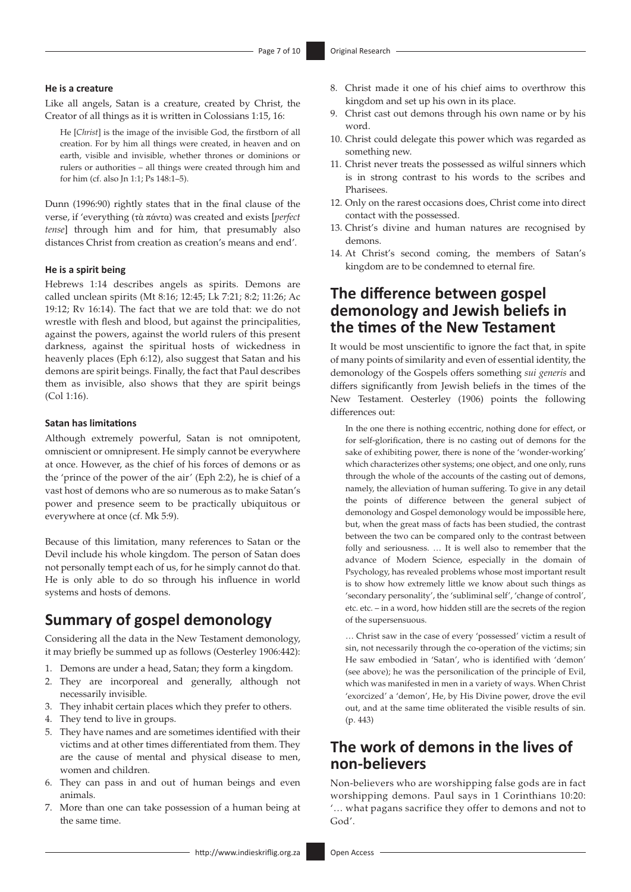#### **He is a creature**

Like all angels, Satan is a creature, created by Christ, the Creator of all things as it is written in Colossians 1:15, 16:

He [*Christ*] is the image of the invisible God, the firstborn of all creation. For by him all things were created, in heaven and on earth, visible and invisible, whether thrones or dominions or rulers or authorities – all things were created through him and for him (cf. also Jn 1:1; Ps 148:1–5).

Dunn (1996:90) rightly states that in the final clause of the verse, if 'everything (τὰ πάντα) was created and exists [*perfect tense*] through him and for him, that presumably also distances Christ from creation as creation's means and end'.

#### **He is a spirit being**

Hebrews 1:14 describes angels as spirits. Demons are called unclean spirits (Mt 8:16; 12:45; Lk 7:21; 8:2; 11:26; Ac 19:12; Rv 16:14). The fact that we are told that: we do not wrestle with flesh and blood, but against the principalities, against the powers, against the world rulers of this present darkness, against the spiritual hosts of wickedness in heavenly places (Eph 6:12), also suggest that Satan and his demons are spirit beings. Finally, the fact that Paul describes them as invisible, also shows that they are spirit beings (Col 1:16).

#### **Satan has limitations**

Although extremely powerful, Satan is not omnipotent, omniscient or omnipresent. He simply cannot be everywhere at once. However, as the chief of his forces of demons or as the 'prince of the power of the air' (Eph 2:2), he is chief of a vast host of demons who are so numerous as to make Satan's power and presence seem to be practically ubiquitous or everywhere at once (cf. Mk 5:9).

Because of this limitation, many references to Satan or the Devil include his whole kingdom. The person of Satan does not personally tempt each of us, for he simply cannot do that. He is only able to do so through his influence in world systems and hosts of demons.

# **Summary of gospel demonology**

Considering all the data in the New Testament demonology, it may briefly be summed up as follows (Oesterley 1906:442):

- 1. Demons are under a head, Satan; they form a kingdom.
- 2. They are incorporeal and generally, although not necessarily invisible.
- 3. They inhabit certain places which they prefer to others.
- 4. They tend to live in groups.
- 5. They have names and are sometimes identified with their victims and at other times differentiated from them. They are the cause of mental and physical disease to men, women and children.
- 6. They can pass in and out of human beings and even animals.
- 7. More than one can take possession of a human being at the same time.
- 8. Christ made it one of his chief aims to overthrow this kingdom and set up his own in its place.
- 9. Christ cast out demons through his own name or by his word.
- 10. Christ could delegate this power which was regarded as something new.
- 11. Christ never treats the possessed as wilful sinners which is in strong contrast to his words to the scribes and Pharisees.
- 12. Only on the rarest occasions does, Christ come into direct contact with the possessed.
- 13. Christ's divine and human natures are recognised by demons.
- 14. At Christ's second coming, the members of Satan's kingdom are to be condemned to eternal fire.

# **The difference between gospel demonology and Jewish beliefs in the times of the New Testament**

It would be most unscientific to ignore the fact that, in spite of many points of similarity and even of essential identity, the demonology of the Gospels offers something *sui generis* and differs significantly from Jewish beliefs in the times of the New Testament. Oesterley (1906) points the following differences out:

In the one there is nothing eccentric, nothing done for effect, or for self-glorification, there is no casting out of demons for the sake of exhibiting power, there is none of the 'wonder-working' which characterizes other systems; one object, and one only, runs through the whole of the accounts of the casting out of demons, namely, the alleviation of human suffering. To give in any detail the points of difference between the general subject of demonology and Gospel demonology would be impossible here, but, when the great mass of facts has been studied, the contrast between the two can be compared only to the contrast between folly and seriousness. … It is well also to remember that the advance of Modern Science, especially in the domain of Psychology, has revealed problems whose most important result is to show how extremely little we know about such things as 'secondary personality', the 'subliminal self', 'change of control', etc. etc. – in a word, how hidden still are the secrets of the region of the supersensuous.

… Christ saw in the case of every 'possessed' victim a result of sin, not necessarily through the co-operation of the victims; sin He saw embodied in 'Satan', who is identified with 'demon' (see above); he was the personilication of the principle of Evil, which was manifested in men in a variety of ways. When Christ 'exorcized' a 'demon', He, by His Divine power, drove the evil out, and at the same time obliterated the visible results of sin. (p. 443)

# **The work of demons in the lives of non-believers**

Non-believers who are worshipping false gods are in fact worshipping demons. Paul says in 1 Corinthians 10:20: '… what pagans sacrifice they offer to demons and not to God'.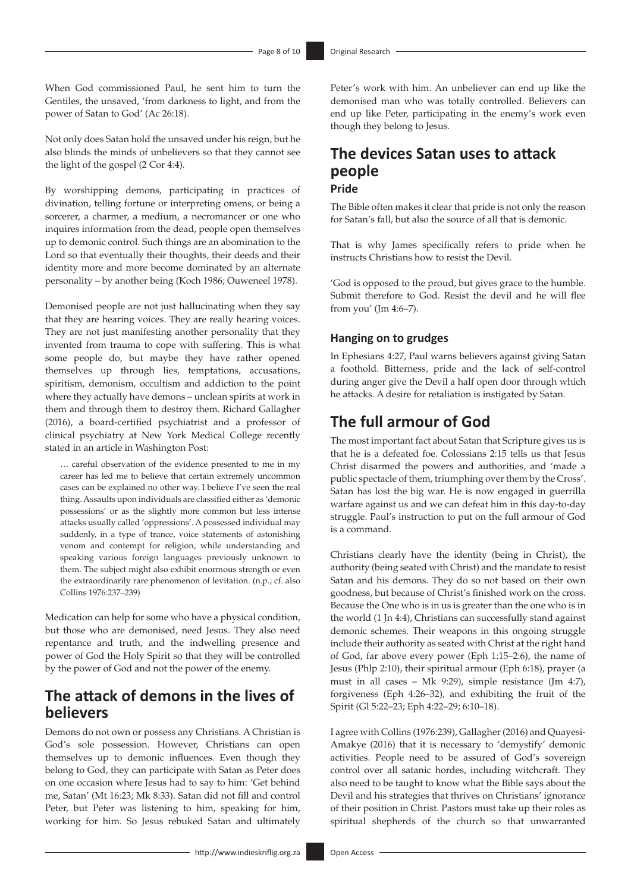When God commissioned Paul, he sent him to turn the Gentiles, the unsaved, 'from darkness to light, and from the power of Satan to God' (Ac 26:18).

Not only does Satan hold the unsaved under his reign, but he also blinds the minds of unbelievers so that they cannot see the light of the gospel (2 Cor 4:4).

By worshipping demons, participating in practices of divination, telling fortune or interpreting omens, or being a sorcerer, a charmer, a medium, a necromancer or one who inquires information from the dead, people open themselves up to demonic control. Such things are an abomination to the Lord so that eventually their thoughts, their deeds and their identity more and more become dominated by an alternate personality – by another being (Koch 1986; Ouweneel 1978).

Demonised people are not just hallucinating when they say that they are hearing voices. They are really hearing voices. They are not just manifesting another personality that they invented from trauma to cope with suffering. This is what some people do, but maybe they have rather opened themselves up through lies, temptations, accusations, spiritism, demonism, occultism and addiction to the point where they actually have demons – unclean spirits at work in them and through them to destroy them. Richard Gallagher (2016), a board-certified psychiatrist and a professor of clinical psychiatry at New York Medical College recently stated in an article in Washington Post:

… careful observation of the evidence presented to me in my career has led me to believe that certain extremely uncommon cases can be explained no other way. I believe I've seen the real thing. Assaults upon individuals are classified either as 'demonic possessions' or as the slightly more common but less intense attacks usually called 'oppressions'. A possessed individual may suddenly, in a type of trance, voice statements of astonishing venom and contempt for religion, while understanding and speaking various foreign languages previously unknown to them. The subject might also exhibit enormous strength or even the extraordinarily rare phenomenon of levitation. (n.p.; cf. also Collins 1976:237–239)

Medication can help for some who have a physical condition, but those who are demonised, need Jesus. They also need repentance and truth, and the indwelling presence and power of God the Holy Spirit so that they will be controlled by the power of God and not the power of the enemy.

# **The attack of demons in the lives of believers**

Demons do not own or possess any Christians. A Christian is God's sole possession. However, Christians can open themselves up to demonic influences. Even though they belong to God, they can participate with Satan as Peter does on one occasion where Jesus had to say to him: 'Get behind me, Satan' (Mt 16:23; Mk 8:33). Satan did not fill and control Peter, but Peter was listening to him, speaking for him, working for him. So Jesus rebuked Satan and ultimately

Peter's work with him. An unbeliever can end up like the demonised man who was totally controlled. Believers can end up like Peter, participating in the enemy's work even though they belong to Jesus.

# **The devices Satan uses to attack people**

### **Pride**

The Bible often makes it clear that pride is not only the reason for Satan's fall, but also the source of all that is demonic.

That is why James specifically refers to pride when he instructs Christians how to resist the Devil.

'God is opposed to the proud, but gives grace to the humble. Submit therefore to God. Resist the devil and he will flee from you' (Jm 4:6–7).

### **Hanging on to grudges**

In Ephesians 4:27, Paul warns believers against giving Satan a foothold. Bitterness, pride and the lack of self-control during anger give the Devil a half open door through which he attacks. A desire for retaliation is instigated by Satan.

# **The full armour of God**

The most important fact about Satan that Scripture gives us is that he is a defeated foe. Colossians 2:15 tells us that Jesus Christ disarmed the powers and authorities, and 'made a public spectacle of them, triumphing over them by the Cross'. Satan has lost the big war. He is now engaged in guerrilla warfare against us and we can defeat him in this day-to-day struggle. Paul's instruction to put on the full armour of God is a command.

Christians clearly have the identity (being in Christ), the authority (being seated with Christ) and the mandate to resist Satan and his demons. They do so not based on their own goodness, but because of Christ's finished work on the cross. Because the One who is in us is greater than the one who is in the world (1 Jn 4:4), Christians can successfully stand against demonic schemes. Their weapons in this ongoing struggle include their authority as seated with Christ at the right hand of God, far above every power (Eph 1:15–2:6), the name of Jesus (Phlp 2:10), their spiritual armour (Eph 6:18), prayer (a must in all cases – Mk 9:29), simple resistance (Jm 4:7), forgiveness (Eph 4:26–32), and exhibiting the fruit of the Spirit (Gl 5:22–23; Eph 4:22–29; 6:10–18).

I agree with Collins (1976:239), Gallagher (2016) and Quayesi-Amakye (2016) that it is necessary to 'demystify' demonic activities. People need to be assured of God's sovereign control over all satanic hordes, including witchcraft. They also need to be taught to know what the Bible says about the Devil and his strategies that thrives on Christians' ignorance of their position in Christ. Pastors must take up their roles as spiritual shepherds of the church so that unwarranted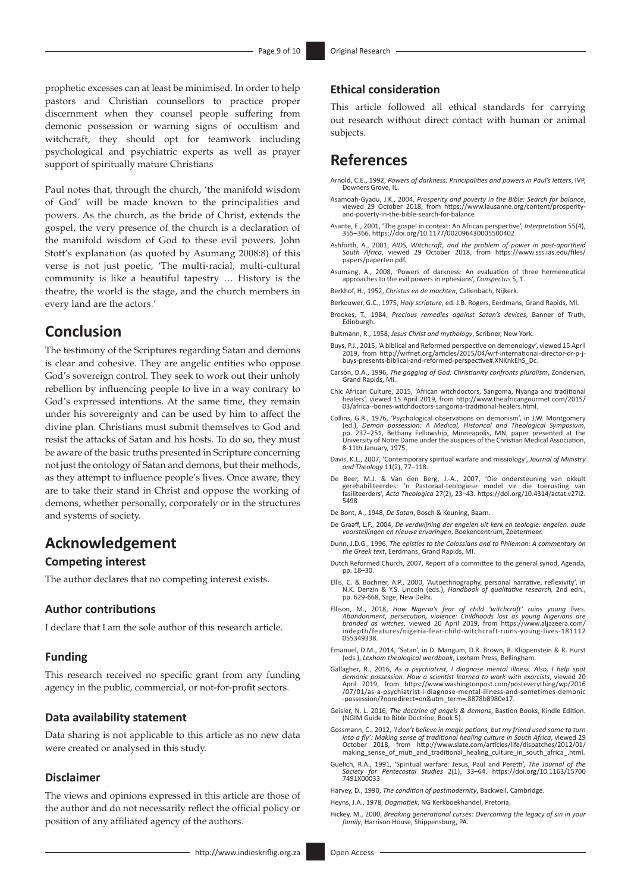prophetic excesses can at least be minimised. In order to help pastors and Christian counsellors to practice proper discernment when they counsel people suffering from demonic possession or warning signs of occultism and witchcraft, they should opt for teamwork including psychological and psychiatric experts as well as prayer support of spiritually mature Christians

Paul notes that, through the church, 'the manifold wisdom of God' will be made known to the principalities and powers. As the church, as the bride of Christ, extends the gospel, the very presence of the church is a declaration of the manifold wisdom of God to these evil powers. John Stott's explanation (as quoted by Asumang 2008:8) of this verse is not just poetic, 'The multi-racial, multi-cultural community is like a beautiful tapestry … History is the theatre, the world is the stage, and the church members in every land are the actors.'

# **Conclusion**

The testimony of the Scriptures regarding Satan and demons is clear and cohesive. They are angelic entities who oppose God's sovereign control. They seek to work out their unholy rebellion by influencing people to live in a way contrary to God's expressed intentions. At the same time, they remain under his sovereignty and can be used by him to affect the divine plan. Christians must submit themselves to God and resist the attacks of Satan and his hosts. To do so, they must be aware of the basic truths presented in Scripture concerning not just the ontology of Satan and demons, but their methods, as they attempt to influence people's lives. Once aware, they are to take their stand in Christ and oppose the working of demons, whether personally, corporately or in the structures and systems of society.

## **Acknowledgement Competing interest**

The author declares that no competing interest exists.

#### **Author contributions**

I declare that I am the sole author of this research article.

#### **Funding**

This research received no specific grant from any funding agency in the public, commercial, or not-for-profit sectors.

#### **Data availability statement**

Data sharing is not applicable to this article as no new data were created or analysed in this study.

#### **Disclaimer**

The views and opinions expressed in this article are those of the author and do not necessarily reflect the official policy or position of any affiliated agency of the authors.

This article followed all ethical standards for carrying out research without direct contact with human or animal subjects.

### **References**

- Arnold, C.E., 1992, *Powers of darkness: Principalities and powers in Paul's letters*, IVP, Downers Grove, IL.
- Asamoah-Gyadu, J.K., 2004, *Prosperity and poverty in the Bible: Search for balance*[,](https://www.lausanne.org/content/prosperity-and-poverty-in-the-bible-search-for-balance) viewed 29 October 2018, from [https://www.lausanne.org/content/prosperity](https://www.lausanne.org/content/prosperity-and-poverty-in-the-bible-search-for-balance)[and-poverty-in-the-bible-search-for-balance](https://www.lausanne.org/content/prosperity-and-poverty-in-the-bible-search-for-balance)
- Asante, E., 2001, 'The gospel in context: An African perspective', *Interpretation* 55(4), 355–366.<https://doi.org/10.1177/002096430005500402>
- Ashforth, A., 2001, *AIDS, Witchcraft, and the problem of power in post-apartheid South Africa*, viewed 29 October 2018, from [https://www.sss.ias.edu/files/](https://www.sss.ias.edu/files/papers/paperten.pdf) [papers/paperten.pdf.](https://www.sss.ias.edu/files/papers/paperten.pdf)
- Asumang, A., 2008, 'Powers of darkness: An evaluation of three hermeneutical approaches to the evil powers in ephesians', *Conspectus* 5, 1.
- Berkhof, H., 1952, *Christus en de machten*, Callenbach, Nijkerk.
- Berkouwer, G.C., 1975, *Holy scripture*, ed. J.B. Rogers, Eerdmans, Grand Rapids, MI.
- Brookes, T., 1984, *Precious remedies against Satan's devices*, Banner of Truth, Edinburgh.
- Bultmann, R., 1958, *Jesus Christ and mythology*, Scribner, New York.
- Buys, P.J., 2015, 'A biblical and Reformed perspective on demonology', viewed 15 April<br>2019, from http://wrfnet.org/articles/2015/04/wrf-international-director-dr-p-j-<br>buys-presents-biblical-and-reformed-perspective#.XNKnk
- Carson, D.A., 1996, *The gagging of God: Christianity confronts pluralism*, Zondervan, Grand Rapids, MI.
- Chic African Culture, 2015, 'African witchdoctors, Sangoma, Nyanga and traditional healers', viewed 15 April 2019, from [http://www.theafricangourmet.com/2015/](http://www.theafricangourmet.com/2015/03/africa--bones-witchdoctors-sangoma-traditional-healers.html) [03/africa--bones-witchdoctors-sangoma-traditional-healers.html](http://www.theafricangourmet.com/2015/03/africa--bones-witchdoctors-sangoma-traditional-healers.html).
- Collins, G.R., 1976, 'Psychological observations on demonism', in J.W. Montgomery (ed.), Demon possession: A Medical, Historical and Theological Symposium, pp. 237–251, Bethany Fellowship, Minneapolis, MN, paper presented 8-11th January, 1975.
- Davis, K.L., 2007, 'Contemporary spiritual warfare and missiology', *Journal of Ministry and Theology* 11(2), 77–118.
- De Beer, M.J. & Van den Berg, J.-A., 2007, 'Die ondersteuning van okkult<br>gerehabiliteerdes: 'n Pastoraal-teologiese model vir die toerusting van<br>fasiliteerders', Acta Theologica 27(2), 23–43. https://doi.org/10.4314/actat. [5498](https://doi.org/10.4314/actat.v27i2.5498)
- De Bont, A., 1948, *De Satan*, Bosch & Keuning, Baarn.
- De Graaff, L.F., 2004, *De verdwijning der engelen uit kerk en teologie: engelen. oude voorstellingen en nieuwe ervaringen*, Boekencentrum, Zoetermeer.
- Dunn, J.D.G., 1996, *The epistles to the Colossians and to Philemon: A commentary on the Greek text*, Eerdmans, Grand Rapids, MI.
- Dutch Reformed Church, 2007, Report of a committee to the general synod, Agenda, pp. 18–30.
- Ellis, C. & Bochner, A.P., 2000, 'Autoethnography, personal narrative, reflexivity', in N.K. Denzin & Y.S. Lincoln (eds.), *Handbook of qualitative research,* 2nd edn., pp. 629-668, Sage, New Delhi
- Ellison, M., 2018, *How Nigeria's fear of child 'witchcraft' ruins young lives. Abandonment, persecution, violence: Childhoods lost as young Nigerians are branded as witches*, viewed 20 April 2019, from [https://www.aljazeera.com/](https://www.aljazeera.com/indepth/features/nigeria-fear-child-witchcraft-ruins-young-lives-181112055349338) [indepth/features/nigeria-fear-child-witchcraft-ruins-young-lives-181112](https://www.aljazeera.com/indepth/features/nigeria-fear-child-witchcraft-ruins-young-lives-181112055349338) [055349338](https://www.aljazeera.com/indepth/features/nigeria-fear-child-witchcraft-ruins-young-lives-181112055349338).
- Emanuel, D.M., 2014, 'Satan', in D. Mangum, D.R. Brown, R. Klippenstein & R. Hurst (eds.), *Lexham theological wordbook*, Lexham Press, Bellingham.
- Gallagher, R., 2016, *As a psychiatrist, I diagnose mental illness. Also, I help spot demonic possession. How a scientist learned to work with exorcists*, viewed 20 April 2019, from [https://www.washingtonpost.com/posteverything/wp/2016](https://www.washingtonpost.com/posteverything/wp/2016/07/01/as-a-psychiatrist-i-diagnose-mental-illness-and-sometimes-demonic-possession/?noredirect=on&utm_term=.8878b8980e17) [/07/01/as-a-psychiatrist-i-diagnose-mental-illness-and-sometimes-demonic](https://www.washingtonpost.com/posteverything/wp/2016/07/01/as-a-psychiatrist-i-diagnose-mental-illness-and-sometimes-demonic-possession/?noredirect=on&utm_term=.8878b8980e17) [-possession/?noredirect=on&utm\\_term=.8878b8980e17](https://www.washingtonpost.com/posteverything/wp/2016/07/01/as-a-psychiatrist-i-diagnose-mental-illness-and-sometimes-demonic-possession/?noredirect=on&utm_term=.8878b8980e17).
- Geisler, N. L. 2016, *The doctrine of angels & demons*, Bastion Books, Kindle Edition. (NGIM Guide to Bible Doctrine, Book 5).
- Gossmann, C., 2012, *'I don't believe in magic potions, but my friend used some to turn*  into a fly': Making sense of traditional healing culture in South Africa, viewed 29<br>October 2018, from [http://www.slate.com/articles/life/dispatches/2012/01/](http://www.slate.com/articles/life/dispatches/2012/01/making_sense_of_muti_and_traditional_healing_culture_in_south_africa_.html)<br>making\_sense\_of\_muti\_and\_traditional\_healing\_culture\_in\_so
- Guelich, R.A., 1991, 'Spiritual warfare: Jesus, Paul and Peretti', *The Journal of the Society for Pentecostal Studies* 2(1), 33–64. [https://doi.org/10.1163/15700](https://doi.org/10.1163/157007491X00033) [7491X00033](https://doi.org/10.1163/157007491X00033)
- Harvey, D., 1990, *The condition of postmodernity*, Backwell, Cambridge.
- Heyns, J.A., 1978, *Dogmatiek*, NG Kerkboekhandel, Pretoria.
- Hickey, M., 2000, *Breaking generational curses: Overcoming the legacy of sin in your family*, Harrison House, Shippensburg, PA.